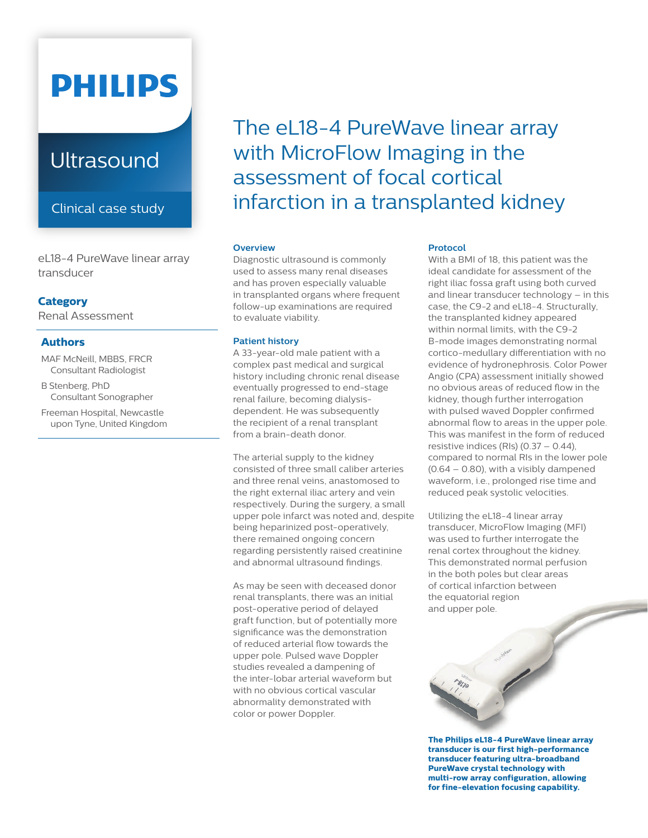# **PHILIPS**

# **Ultrasound**

Clinical case study

eL18-4 PureWave linear array transducer

### **Category**

Renal Assessment

### **Authors**

MAF McNeill, MBBS, FRCR Consultant Radiologist

- B Stenberg, PhD Consultant Sonographer
- Freeman Hospital, Newcastle upon Tyne, United Kingdom

# The eL18-4 PureWave linear array with MicroFlow Imaging in the assessment of focal cortical infarction in a transplanted kidney

#### **Overview**

Diagnostic ultrasound is commonly used to assess many renal diseases and has proven especially valuable in transplanted organs where frequent follow-up examinations are required to evaluate viability.

#### **Patient history**

A 33-year-old male patient with a complex past medical and surgical history including chronic renal disease eventually progressed to end-stage renal failure, becoming dialysisdependent. He was subsequently the recipient of a renal transplant from a brain-death donor.

The arterial supply to the kidney consisted of three small caliber arteries and three renal veins, anastomosed to the right external iliac artery and vein respectively. During the surgery, a small upper pole infarct was noted and, despite being heparinized post-operatively, there remained ongoing concern regarding persistently raised creatinine and abnormal ultrasound findings.

As may be seen with deceased donor renal transplants, there was an initial post-operative period of delayed graft function, but of potentially more significance was the demonstration of reduced arterial flow towards the upper pole. Pulsed wave Doppler studies revealed a dampening of the inter-lobar arterial waveform but with no obvious cortical vascular abnormality demonstrated with color or power Doppler.

#### **Protocol**

With a BMI of 18, this patient was the ideal candidate for assessment of the right iliac fossa graft using both curved and linear transducer technology – in this case, the C9-2 and eL18-4. Structurally, the transplanted kidney appeared within normal limits, with the C9-2 B-mode images demonstrating normal cortico-medullary differentiation with no evidence of hydronephrosis. Color Power Angio (CPA) assessment initially showed no obvious areas of reduced flow in the kidney, though further interrogation with pulsed waved Doppler confirmed abnormal flow to areas in the upper pole. This was manifest in the form of reduced resistive indices (RIs) (0.37 – 0.44), compared to normal RIs in the lower pole  $(0.64 - 0.80)$ , with a visibly dampened waveform, i.e., prolonged rise time and reduced peak systolic velocities.

Utilizing the eL18-4 linear array transducer, MicroFlow Imaging (MFI) was used to further interrogate the renal cortex throughout the kidney. This demonstrated normal perfusion in the both poles but clear areas of cortical infarction between the equatorial region and upper pole.



**The Philips eL18-4 PureWave linear array transducer is our first high-performance transducer featuring ultra-broadband PureWave crystal technology with multi-row array configuration, allowing for fine-elevation focusing capability.**